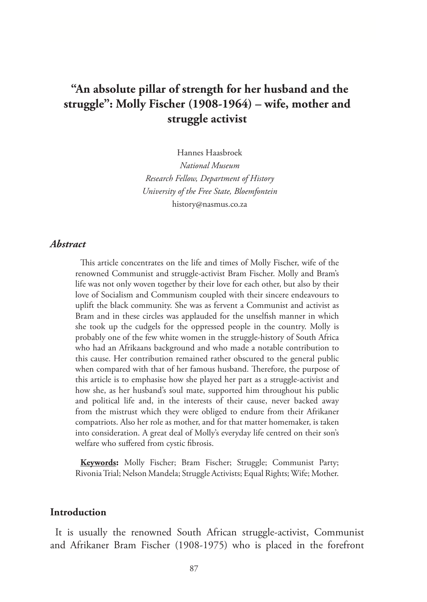# **"An absolute pillar of strength for her husband and the struggle": Molly Fischer (1908-1964) – wife, mother and struggle activist**

Hannes Haasbroek

*National Museum Research Fellow, Department of History University of the Free State, Bloemfontein* history@nasmus.co.za

### *Abstract*

This article concentrates on the life and times of Molly Fischer, wife of the renowned Communist and struggle-activist Bram Fischer. Molly and Bram's life was not only woven together by their love for each other, but also by their love of Socialism and Communism coupled with their sincere endeavours to uplift the black community. She was as fervent a Communist and activist as Bram and in these circles was applauded for the unselfish manner in which she took up the cudgels for the oppressed people in the country. Molly is probably one of the few white women in the struggle-history of South Africa who had an Afrikaans background and who made a notable contribution to this cause. Her contribution remained rather obscured to the general public when compared with that of her famous husband. Therefore, the purpose of this article is to emphasise how she played her part as a struggle-activist and how she, as her husband's soul mate, supported him throughout his public and political life and, in the interests of their cause, never backed away from the mistrust which they were obliged to endure from their Afrikaner compatriots. Also her role as mother, and for that matter homemaker, is taken into consideration. A great deal of Molly's everyday life centred on their son's welfare who suffered from cystic fibrosis.

**Keywords:** Molly Fischer; Bram Fischer; Struggle; Communist Party; Rivonia Trial; Nelson Mandela; Struggle Activists; Equal Rights; Wife; Mother.

# **Introduction**

It is usually the renowned South African struggle-activist, Communist and Afrikaner Bram Fischer (1908-1975) who is placed in the forefront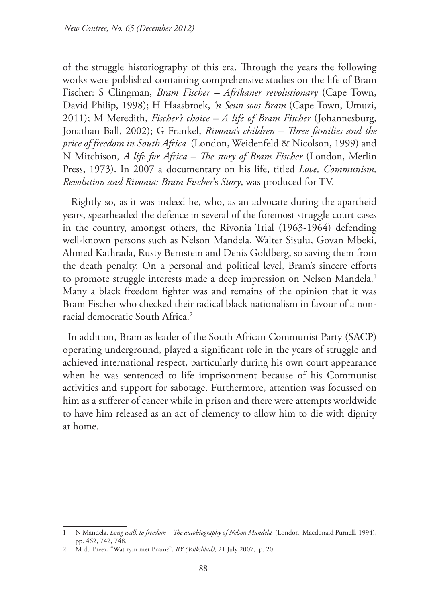of the struggle historiography of this era. Through the years the following works were published containing comprehensive studies on the life of Bram Fischer: S Clingman, *Bram Fischer – Afrikaner revolutionary* (Cape Town, David Philip, 1998); H Haasbroek, *'n Seun soos Bram* (Cape Town, Umuzi, 2011); M Meredith, *Fischer's choice – A life of Bram Fischer* (Johannesburg, Jonathan Ball, 2002); G Frankel, *Rivonia's children – Three families and the price of freedom in South Africa* (London, Weidenfeld & Nicolson, 1999) and N Mitchison, *A life for Africa – The story of Bram Fischer* (London, Merlin Press, 1973). In 2007 a documentary on his life, titled *Love, Communism, Revolution and Rivonia: Bram Fischer*'s *Story*, was produced for TV.

 Rightly so, as it was indeed he, who, as an advocate during the apartheid years, spearheaded the defence in several of the foremost struggle court cases in the country, amongst others, the Rivonia Trial (1963-1964) defending well-known persons such as Nelson Mandela, Walter Sisulu, Govan Mbeki, Ahmed Kathrada, Rusty Bernstein and Denis Goldberg, so saving them from the death penalty. On a personal and political level, Bram's sincere efforts to promote struggle interests made a deep impression on Nelson Mandela.<sup>1</sup> Many a black freedom fighter was and remains of the opinion that it was Bram Fischer who checked their radical black nationalism in favour of a nonracial democratic South Africa.2

In addition, Bram as leader of the South African Communist Party (SACP) operating underground, played a significant role in the years of struggle and achieved international respect, particularly during his own court appearance when he was sentenced to life imprisonment because of his Communist activities and support for sabotage. Furthermore, attention was focussed on him as a sufferer of cancer while in prison and there were attempts worldwide to have him released as an act of clemency to allow him to die with dignity at home.

<sup>1</sup> N Mandela, *Long walk to freedom – The autobiography of Nelson Mandela* (London, Macdonald Purnell, 1994), pp. 462, 742, 748.

<sup>2</sup> M du Preez, "Wat rym met Bram?", *BY (Volksblad),* 21 July 2007, p. 20.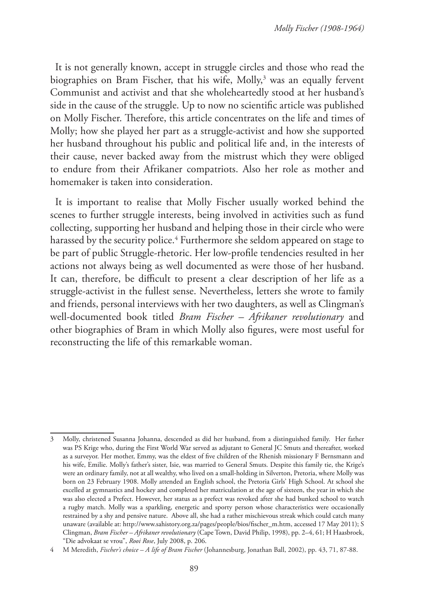It is not generally known, accept in struggle circles and those who read the biographies on Bram Fischer, that his wife, Molly,<sup>3</sup> was an equally fervent Communist and activist and that she wholeheartedly stood at her husband's side in the cause of the struggle. Up to now no scientific article was published on Molly Fischer. Therefore, this article concentrates on the life and times of Molly; how she played her part as a struggle-activist and how she supported her husband throughout his public and political life and, in the interests of their cause, never backed away from the mistrust which they were obliged to endure from their Afrikaner compatriots. Also her role as mother and homemaker is taken into consideration.

It is important to realise that Molly Fischer usually worked behind the scenes to further struggle interests, being involved in activities such as fund collecting, supporting her husband and helping those in their circle who were harassed by the security police.4 Furthermore she seldom appeared on stage to be part of public Struggle-rhetoric. Her low-profile tendencies resulted in her actions not always being as well documented as were those of her husband. It can, therefore, be difficult to present a clear description of her life as a struggle-activist in the fullest sense. Nevertheless, letters she wrote to family and friends, personal interviews with her two daughters, as well as Clingman's well-documented book titled *Bram Fischer – Afrikaner revolutionary* and other biographies of Bram in which Molly also figures, were most useful for reconstructing the life of this remarkable woman.

<sup>3</sup> Molly, christened Susanna Johanna, descended as did her husband, from a distinguished family. Her father was PS Krige who, during the First World War served as adjutant to General JC Smuts and thereafter, worked as a surveyor. Her mother, Emmy, was the eldest of five children of the Rhenish missionary F Bernsmann and his wife, Emilie. Molly's father's sister, Isie, was married to General Smuts. Despite this family tie, the Krige's were an ordinary family, not at all wealthy, who lived on a small-holding in Silverton, Pretoria, where Molly was born on 23 February 1908. Molly attended an English school, the Pretoria Girls' High School. At school she excelled at gymnastics and hockey and completed her matriculation at the age of sixteen, the year in which she was also elected a Prefect. However, her status as a prefect was revoked after she had bunked school to watch a rugby match. Molly was a sparkling, energetic and sporty person whose characteristics were occasionally restrained by a shy and pensive nature. Above all, she had a rather mischievous streak which could catch many unaware (available at: http://www.sahistory.org.za/pages/people/bios/fischer\_m.htm, accessed 17 May 2011); S Clingman, *Bram Fischer – Afrikaner revolutionary* (Cape Town, David Philip, 1998), pp. 2–4, 61; H Haasbroek, "Die advokaat se vrou", *Rooi Rose*, July 2008, p. 206.

<sup>4</sup> M Meredith, *Fischer's choice – A life of Bram Fischer* (Johannesburg, Jonathan Ball, 2002), pp. 43, 71, 87-88.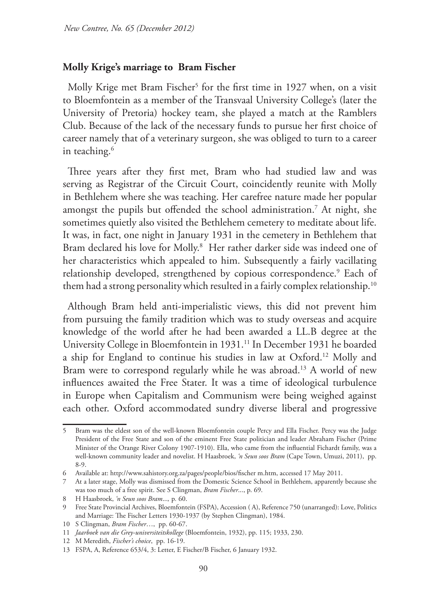### **Molly Krige's marriage to Bram Fischer**

Molly Krige met Bram Fischer<sup>5</sup> for the first time in 1927 when, on a visit to Bloemfontein as a member of the Transvaal University College's (later the University of Pretoria) hockey team, she played a match at the Ramblers Club. Because of the lack of the necessary funds to pursue her first choice of career namely that of a veterinary surgeon, she was obliged to turn to a career in teaching.6

Three years after they first met, Bram who had studied law and was serving as Registrar of the Circuit Court, coincidently reunite with Molly in Bethlehem where she was teaching. Her carefree nature made her popular amongst the pupils but offended the school administration.7 At night, she sometimes quietly also visited the Bethlehem cemetery to meditate about life. It was, in fact, one night in January 1931 in the cemetery in Bethlehem that Bram declared his love for Molly.<sup>8</sup> Her rather darker side was indeed one of her characteristics which appealed to him. Subsequently a fairly vacillating relationship developed, strengthened by copious correspondence.<sup>9</sup> Each of them had a strong personality which resulted in a fairly complex relationship.<sup>10</sup>

Although Bram held anti-imperialistic views, this did not prevent him from pursuing the family tradition which was to study overseas and acquire knowledge of the world after he had been awarded a LL.B degree at the University College in Bloemfontein in 1931.11 In December 1931 he boarded a ship for England to continue his studies in law at Oxford.12 Molly and Bram were to correspond regularly while he was abroad.<sup>13</sup> A world of new influences awaited the Free Stater. It was a time of ideological turbulence in Europe when Capitalism and Communism were being weighed against each other. Oxford accommodated sundry diverse liberal and progressive

<sup>5</sup> Bram was the eldest son of the well-known Bloemfontein couple Percy and Ella Fischer. Percy was the Judge President of the Free State and son of the eminent Free State politician and leader Abraham Fischer (Prime Minister of the Orange River Colony 1907-1910). Ella, who came from the influential Fichardt family, was a well-known community leader and novelist. H Haasbroek, *'n Seun soos Bram* (Cape Town, Umuzi, 2011), pp. 8-9.

<sup>6</sup> Available at: http://www.sahistory.org.za/pages/people/bios/fischer m.htm, accessed 17 May 2011.

<sup>7</sup> At a later stage, Molly was dismissed from the Domestic Science School in Bethlehem, apparently because she was too much of a free spirit. See S Clingman, *Bram Fischer*..., p. 69.

<sup>8</sup> H Haasbroek, *'n Seun soos Bram*...*,* p*.* 60.

<sup>9</sup> Free State Provincial Archives, Bloemfontein (FSPA), Accession ( A), Reference 750 (unarranged): Love, Politics and Marriage: The Fischer Letters 1930-1937 (by Stephen Clingman), 1984.

<sup>10</sup> S Clingman, *Bram Fischer*…, pp. 60-67.

<sup>11</sup> *Jaarboek van die Grey-universiteitskollege* (Bloemfontein, 1932), pp. 115; 1933, 230.

<sup>12</sup> M Meredith, *Fischer's choice*, pp. 16-19.

<sup>13</sup> FSPA, A, Reference 653/4, 3: Letter, E Fischer/B Fischer, 6 January 1932.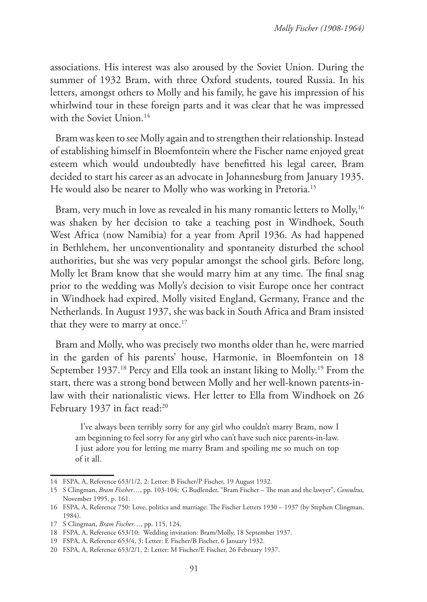associations. His interest was also aroused by the Soviet Union. During the summer of 1932 Bram, with three Oxford students, toured Russia. In his letters, amongst others to Molly and his family, he gave his impression of his whirlwind tour in these foreign parts and it was clear that he was impressed with the Soviet Union.<sup>14</sup>

Bram was keen to see Molly again and to strengthen their relationship. Instead of establishing himself in Bloemfontein where the Fischer name enjoyed great esteem which would undoubtedly have benefitted his legal career, Bram decided to start his career as an advocate in Johannesburg from January 1935. He would also be nearer to Molly who was working in Pretoria.<sup>15</sup>

Bram, very much in love as revealed in his many romantic letters to Molly,<sup>16</sup> was shaken by her decision to take a teaching post in Windhoek, South West Africa (now Namibia) for a year from April 1936. As had happened in Bethlehem, her unconventionality and spontaneity disturbed the school authorities, but she was very popular amongst the school girls. Before long, Molly let Bram know that she would marry him at any time. The final snag prior to the wedding was Molly's decision to visit Europe once her contract in Windhoek had expired. Molly visited England, Germany, France and the Netherlands. In August 1937, she was back in South Africa and Bram insisted that they were to marry at once.<sup>17</sup>

Bram and Molly, who was precisely two months older than he, were married in the garden of his parents' house, Harmonie, in Bloemfontein on 18 September 1937.<sup>18</sup> Percy and Ella took an instant liking to Molly.<sup>19</sup> From the start, there was a strong bond between Molly and her well-known parents-inlaw with their nationalistic views. Her letter to Ella from Windhoek on 26 February 1937 in fact read:<sup>20</sup>

I've always been terribly sorry for any girl who couldn't marry Bram, now I am beginning to feel sorry for any girl who can't have such nice parents-in-law. I just adore you for letting me marry Bram and spoiling me so much on top of it all.

<sup>14</sup> FSPA, A, Reference 653/1/2, 2: Letter: B Fischer/P Fischer, 19 August 1932.

<sup>15</sup> S Clingman, *Bram Fischer*…, pp. 103-104; G Budlender, "Bram Fischer – The man and the lawyer", *Consultus,*  November 1995, p. 161.

<sup>16</sup> FSPA, A, Reference 750: Love, politics and marriage: The Fischer Letters 1930 – 1937 (by Stephen Clingman, 1984).

<sup>17</sup> S Clingman, *Bram Fischer*…, pp. 115, 124.

<sup>18</sup> FSPA, A, Reference 653/10: Wedding invitation: Bram/Molly, 18 September 1937.

<sup>19</sup> FSPA, A, Reference 653/4, 3: Letter: E Fischer/B Fischer, 6 January 1932.

<sup>20</sup> FSPA, A, Reference 653/2/1, 2: Letter: M Fischer/E Fischer, 26 February 1937.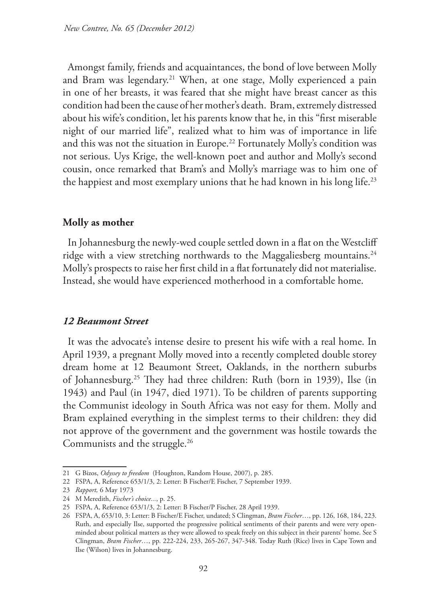Amongst family, friends and acquaintances, the bond of love between Molly and Bram was legendary.<sup>21</sup> When, at one stage, Molly experienced a pain in one of her breasts, it was feared that she might have breast cancer as this condition had been the cause of her mother's death. Bram, extremely distressed about his wife's condition, let his parents know that he, in this "first miserable night of our married life", realized what to him was of importance in life and this was not the situation in Europe.<sup>22</sup> Fortunately Molly's condition was not serious. Uys Krige, the well-known poet and author and Molly's second cousin, once remarked that Bram's and Molly's marriage was to him one of the happiest and most exemplary unions that he had known in his long life.<sup>23</sup>

# **Molly as mother**

In Johannesburg the newly-wed couple settled down in a flat on the Westcliff ridge with a view stretching northwards to the Maggaliesberg mountains.<sup>24</sup> Molly's prospects to raise her first child in a flat fortunately did not materialise. Instead, she would have experienced motherhood in a comfortable home.

### *12 Beaumont Street*

It was the advocate's intense desire to present his wife with a real home. In April 1939, a pregnant Molly moved into a recently completed double storey dream home at 12 Beaumont Street, Oaklands, in the northern suburbs of Johannesburg.25 They had three children: Ruth (born in 1939), Ilse (in 1943) and Paul (in 1947, died 1971). To be children of parents supporting the Communist ideology in South Africa was not easy for them. Molly and Bram explained everything in the simplest terms to their children: they did not approve of the government and the government was hostile towards the Communists and the struggle.<sup>26</sup>

<sup>21</sup> G Bizos, *Odyssey to freedom* (Houghton, Random House, 2007), p. 285.

<sup>22</sup> FSPA, A, Reference 653/1/3, 2: Letter: B Fischer/E Fischer, 7 September 1939.

<sup>23</sup> *Rapport,* 6 May 1973

<sup>24</sup> M Meredith, *Fischer's choice...*, p. 25.

<sup>25</sup> FSPA, A, Reference 653/1/3, 2: Letter: B Fischer/P Fischer, 28 April 1939.

<sup>26</sup> FSPA, A, 653/10, 3: Letter: B Fischer/E Fischer, undated; S Clingman, *Bram Fischer*…, pp. 126, 168, 184, 223. Ruth, and especially Ilse, supported the progressive political sentiments of their parents and were very openminded about political matters as they were allowed to speak freely on this subject in their parents' home. See S Clingman, *Bram Fischer*…, pp. 222-224, 233, 265-267, 347-348. Today Ruth (Rice) lives in Cape Town and Ilse (Wilson) lives in Johannesburg.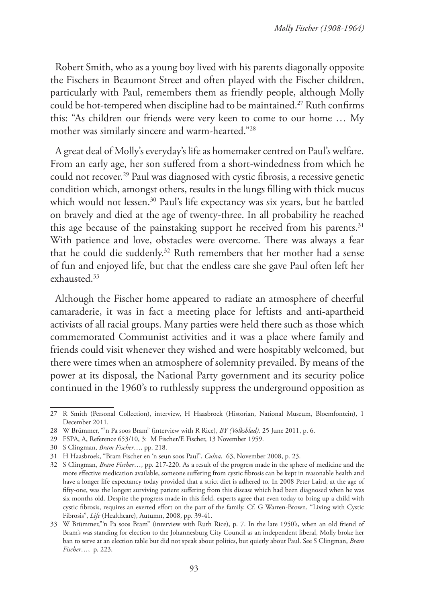Robert Smith, who as a young boy lived with his parents diagonally opposite the Fischers in Beaumont Street and often played with the Fischer children, particularly with Paul, remembers them as friendly people, although Molly could be hot-tempered when discipline had to be maintained.<sup>27</sup> Ruth confirms this: "As children our friends were very keen to come to our home … My mother was similarly sincere and warm-hearted."28

A great deal of Molly's everyday's life as homemaker centred on Paul's welfare. From an early age, her son suffered from a short-windedness from which he could not recover.29 Paul was diagnosed with cystic fibrosis, a recessive genetic condition which, amongst others, results in the lungs filling with thick mucus which would not lessen.<sup>30</sup> Paul's life expectancy was six years, but he battled on bravely and died at the age of twenty-three. In all probability he reached this age because of the painstaking support he received from his parents.<sup>31</sup> With patience and love, obstacles were overcome. There was always a fear that he could die suddenly.32 Ruth remembers that her mother had a sense of fun and enjoyed life, but that the endless care she gave Paul often left her exhausted.33

Although the Fischer home appeared to radiate an atmosphere of cheerful camaraderie, it was in fact a meeting place for leftists and anti-apartheid activists of all racial groups. Many parties were held there such as those which commemorated Communist activities and it was a place where family and friends could visit whenever they wished and were hospitably welcomed, but there were times when an atmosphere of solemnity prevailed. By means of the power at its disposal, the National Party government and its security police continued in the 1960's to ruthlessly suppress the underground opposition as

<sup>27</sup> R Smith (Personal Collection), interview, H Haasbroek (Historian, National Museum, Bloemfontein), 1 December 2011.

<sup>28</sup> W Brümmer, "'n Pa soos Bram" (interview with R Rice), *BY (Volksblad),* 25 June 2011, p. 6.

<sup>29</sup> FSPA, A, Reference 653/10, 3: M Fischer/E Fischer, 13 November 1959.

<sup>30</sup> S Clingman, *Bram Fischer*…, pp. 218.

<sup>31</sup> H Haasbroek, "Bram Fischer en 'n seun soos Paul", *Culna*, 63, November 2008, p. 23.

<sup>32</sup> S Clingman, *Bram Fischer*…, pp. 217-220. As a result of the progress made in the sphere of medicine and the more effective medication available, someone suffering from cystic fibrosis can be kept in reasonable health and have a longer life expectancy today provided that a strict diet is adhered to. In 2008 Peter Laird, at the age of fifty-one, was the longest surviving patient suffering from this disease which had been diagnosed when he was six months old. Despite the progress made in this field, experts agree that even today to bring up a child with cystic fibrosis, requires an exerted effort on the part of the family. Cf. G Warren-Brown, "Living with Cystic Fibrosis", *Life* (Healthcare), Autumn, 2008, pp. 39-41.

<sup>33</sup> W Brümmer,"'n Pa soos Bram" (interview with Ruth Rice), p. 7. In the late 1950's, when an old friend of Bram's was standing for election to the Johannesburg City Council as an independent liberal, Molly broke her ban to serve at an election table but did not speak about politics, but quietly about Paul. See S Clingman, *Bram Fischer*…, p. 223.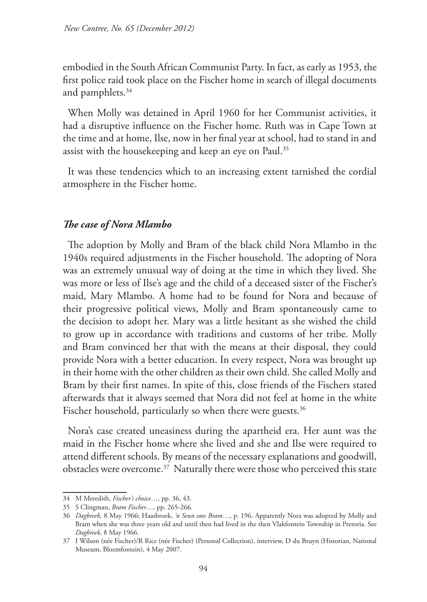embodied in the South African Communist Party. In fact, as early as 1953, the first police raid took place on the Fischer home in search of illegal documents and pamphlets.<sup>34</sup>

When Molly was detained in April 1960 for her Communist activities, it had a disruptive influence on the Fischer home. Ruth was in Cape Town at the time and at home, Ilse, now in her final year at school, had to stand in and assist with the housekeeping and keep an eye on Paul.<sup>35</sup>

It was these tendencies which to an increasing extent tarnished the cordial atmosphere in the Fischer home.

### *The case of Nora Mlambo*

The adoption by Molly and Bram of the black child Nora Mlambo in the 1940s required adjustments in the Fischer household. The adopting of Nora was an extremely unusual way of doing at the time in which they lived. She was more or less of Ilse's age and the child of a deceased sister of the Fischer's maid, Mary Mlambo. A home had to be found for Nora and because of their progressive political views, Molly and Bram spontaneously came to the decision to adopt her. Mary was a little hesitant as she wished the child to grow up in accordance with traditions and customs of her tribe. Molly and Bram convinced her that with the means at their disposal, they could provide Nora with a better education. In every respect, Nora was brought up in their home with the other children as their own child. She called Molly and Bram by their first names. In spite of this, close friends of the Fischers stated afterwards that it always seemed that Nora did not feel at home in the white Fischer household, particularly so when there were guests.<sup>36</sup>

Nora's case created uneasiness during the apartheid era. Her aunt was the maid in the Fischer home where she lived and she and Ilse were required to attend different schools. By means of the necessary explanations and goodwill, obstacles were overcome.<sup>37</sup> Naturally there were those who perceived this state

<sup>34</sup> M Meredith, *Fischer's choice*…, pp. 36, 43.

<sup>35</sup> S Clingman, *Bram Fischer*…, pp. 265-266.

<sup>36</sup> *Dagbreek,* 8 May 1966; Haasbroek, *'n Seun soos Bram*…, p. 196. Apparently Nora was adopted by Molly and Bram when she was three years old and until then had lived in the then Vlakfontein Township in Pretoria. See *Dagbreek,* 8 May 1966.

<sup>37</sup> I Wilson (née Fischer)/R Rice (née Fischer) (Personal Collection), interview, D du Bruyn (Historian, National Museum, Bloemfontein), 4 May 2007.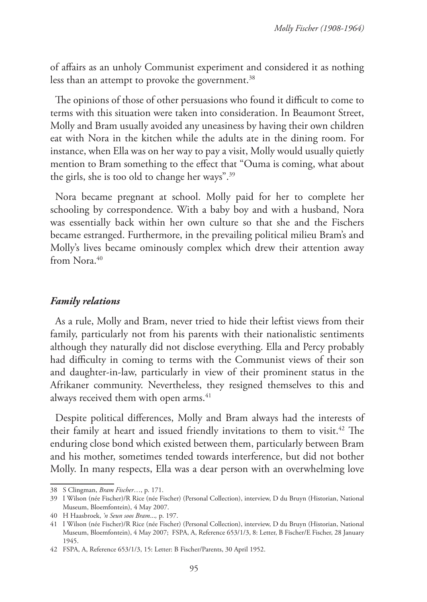of affairs as an unholy Communist experiment and considered it as nothing less than an attempt to provoke the government.<sup>38</sup>

The opinions of those of other persuasions who found it difficult to come to terms with this situation were taken into consideration. In Beaumont Street, Molly and Bram usually avoided any uneasiness by having their own children eat with Nora in the kitchen while the adults ate in the dining room. For instance, when Ella was on her way to pay a visit, Molly would usually quietly mention to Bram something to the effect that "Ouma is coming, what about the girls, she is too old to change her ways".39

Nora became pregnant at school. Molly paid for her to complete her schooling by correspondence. With a baby boy and with a husband, Nora was essentially back within her own culture so that she and the Fischers became estranged. Furthermore, in the prevailing political milieu Bram's and Molly's lives became ominously complex which drew their attention away from Nora.<sup>40</sup>

# *Family relations*

As a rule, Molly and Bram, never tried to hide their leftist views from their family, particularly not from his parents with their nationalistic sentiments although they naturally did not disclose everything. Ella and Percy probably had difficulty in coming to terms with the Communist views of their son and daughter-in-law, particularly in view of their prominent status in the Afrikaner community. Nevertheless, they resigned themselves to this and always received them with open arms.<sup>41</sup>

Despite political differences, Molly and Bram always had the interests of their family at heart and issued friendly invitations to them to visit.<sup>42</sup> The enduring close bond which existed between them, particularly between Bram and his mother, sometimes tended towards interference, but did not bother Molly. In many respects, Ella was a dear person with an overwhelming love

<sup>38</sup> S Clingman, *Bram Fischer*…, p. 171.

<sup>39</sup> I Wilson (née Fischer)/R Rice (née Fischer) (Personal Collection), interview, D du Bruyn (Historian, National Museum, Bloemfontein), 4 May 2007.

<sup>40</sup> H Haasbroek, *'n Seun soos Bram*...*,* p. 197.

<sup>41</sup> I Wilson (née Fischer)/R Rice (née Fischer) (Personal Collection), interview, D du Bruyn (Historian, National Museum, Bloemfontein), 4 May 2007; FSPA, A, Reference 653/1/3, 8: Letter, B Fischer/E Fischer, 28 January 1945.

<sup>42</sup> FSPA, A, Reference 653/1/3, 15: Letter: B Fischer/Parents, 30 April 1952.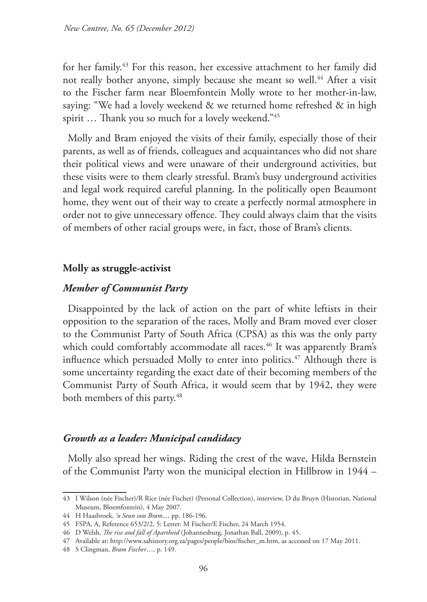for her family.43 For this reason, her excessive attachment to her family did not really bother anyone, simply because she meant so well.<sup>44</sup> After a visit to the Fischer farm near Bloemfontein Molly wrote to her mother-in-law, saying: "We had a lovely weekend & we returned home refreshed & in high spirit … Thank you so much for a lovely weekend."45

Molly and Bram enjoyed the visits of their family, especially those of their parents, as well as of friends, colleagues and acquaintances who did not share their political views and were unaware of their underground activities, but these visits were to them clearly stressful. Bram's busy underground activities and legal work required careful planning. In the politically open Beaumont home, they went out of their way to create a perfectly normal atmosphere in order not to give unnecessary offence. They could always claim that the visits of members of other racial groups were, in fact, those of Bram's clients.

### **Molly as struggle-activist**

# *Member of Communist Party*

Disappointed by the lack of action on the part of white leftists in their opposition to the separation of the races, Molly and Bram moved ever closer to the Communist Party of South Africa (CPSA) as this was the only party which could comfortably accommodate all races.<sup>46</sup> It was apparently Bram's influence which persuaded Molly to enter into politics.<sup>47</sup> Although there is some uncertainty regarding the exact date of their becoming members of the Communist Party of South Africa, it would seem that by 1942, they were both members of this party.<sup>48</sup>

### *Growth as a leader: Municipal candidacy*

Molly also spread her wings. Riding the crest of the wave, Hilda Bernstein of the Communist Party won the municipal election in Hillbrow in 1944 –

<sup>43</sup> I Wilson (née Fischer)/R Rice (née Fischer) (Personal Collection), interview, D du Bruyn (Historian, National Museum, Bloemfontein), 4 May 2007.

<sup>44</sup> H Haasbroek, *'n Seun soos Bram*..., pp. 186-196.

<sup>45</sup> FSPA, A, Reference 653/2/2, 5: Letter: M Fischer/E Fischer, 24 March 1954.

<sup>46</sup> D Welsh, *The rise and fall of Apartheid* (Johannesburg, Jonathan Ball, 2009), p. 45.

<sup>47</sup> Available at: http://www.sahistory.org.za/pages/people/bios/fischer\_m.htm, as accessed on 17 May 2011.

<sup>48</sup> S Clingman, *Bram Fischer*…, p. 149.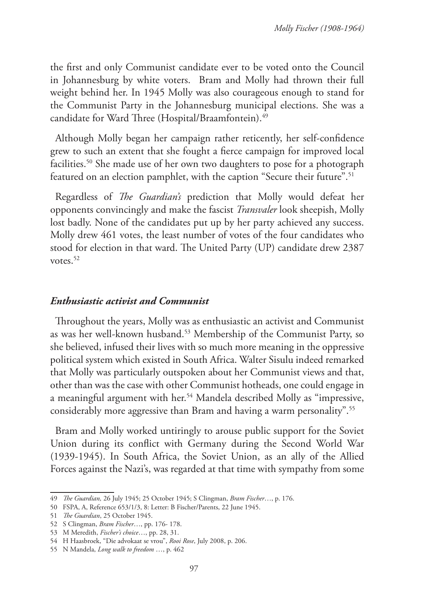the first and only Communist candidate ever to be voted onto the Council in Johannesburg by white voters. Bram and Molly had thrown their full weight behind her. In 1945 Molly was also courageous enough to stand for the Communist Party in the Johannesburg municipal elections. She was a candidate for Ward Three (Hospital/Braamfontein).<sup>49</sup>

Although Molly began her campaign rather reticently, her self-confidence grew to such an extent that she fought a fierce campaign for improved local facilities.<sup>50</sup> She made use of her own two daughters to pose for a photograph featured on an election pamphlet, with the caption "Secure their future".<sup>51</sup>

Regardless of *The Guardian's* prediction that Molly would defeat her opponents convincingly and make the fascist *Transvaler* look sheepish, Molly lost badly. None of the candidates put up by her party achieved any success. Molly drew 461 votes, the least number of votes of the four candidates who stood for election in that ward. The United Party (UP) candidate drew 2387 votes.<sup>52</sup>

# *Enthusiastic activist and Communist*

Throughout the years, Molly was as enthusiastic an activist and Communist as was her well-known husband.53 Membership of the Communist Party, so she believed, infused their lives with so much more meaning in the oppressive political system which existed in South Africa. Walter Sisulu indeed remarked that Molly was particularly outspoken about her Communist views and that, other than was the case with other Communist hotheads, one could engage in a meaningful argument with her.<sup>54</sup> Mandela described Molly as "impressive, considerably more aggressive than Bram and having a warm personality".<sup>55</sup>

Bram and Molly worked untiringly to arouse public support for the Soviet Union during its conflict with Germany during the Second World War (1939-1945). In South Africa, the Soviet Union, as an ally of the Allied Forces against the Nazi's, was regarded at that time with sympathy from some

<sup>49</sup> *The Guardian,* 26 July 1945; 25 October 1945; S Clingman, *Bram Fischer*…, p. 176.

<sup>50</sup> FSPA, A, Reference 653/1/3, 8: Letter: B Fischer/Parents, 22 June 1945.

<sup>51</sup> *The Guardian*, 25 October 1945.

<sup>52</sup> S Clingman, *Bram Fischer*…, pp. 176- 178.

<sup>53</sup> M Meredith, *Fischer's choice*…, pp. 28, 31.

<sup>54</sup> H Haasbroek, "Die advokaat se vrou", *Rooi Rose*, July 2008, p. 206.

<sup>55</sup> N Mandela, *Long walk to freedom* …, p. 462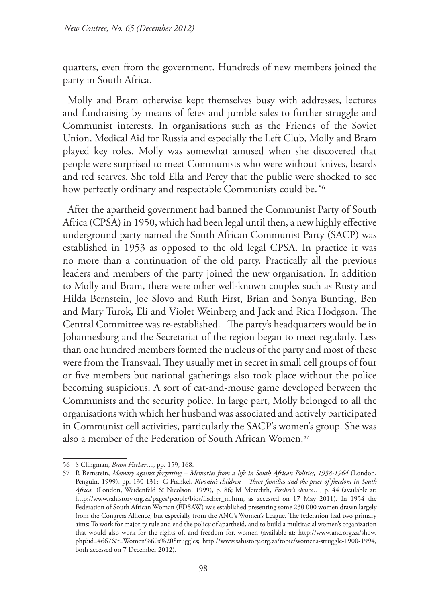quarters, even from the government. Hundreds of new members joined the party in South Africa.

Molly and Bram otherwise kept themselves busy with addresses, lectures and fundraising by means of fetes and jumble sales to further struggle and Communist interests. In organisations such as the Friends of the Soviet Union, Medical Aid for Russia and especially the Left Club, Molly and Bram played key roles. Molly was somewhat amused when she discovered that people were surprised to meet Communists who were without knives, beards and red scarves. She told Ella and Percy that the public were shocked to see how perfectly ordinary and respectable Communists could be.<sup>56</sup>

After the apartheid government had banned the Communist Party of South Africa (CPSA) in 1950, which had been legal until then, a new highly effective underground party named the South African Communist Party (SACP) was established in 1953 as opposed to the old legal CPSA. In practice it was no more than a continuation of the old party. Practically all the previous leaders and members of the party joined the new organisation. In addition to Molly and Bram, there were other well-known couples such as Rusty and Hilda Bernstein, Joe Slovo and Ruth First, Brian and Sonya Bunting, Ben and Mary Turok, Eli and Violet Weinberg and Jack and Rica Hodgson. The Central Committee was re-established. The party's headquarters would be in Johannesburg and the Secretariat of the region began to meet regularly. Less than one hundred members formed the nucleus of the party and most of these were from the Transvaal. They usually met in secret in small cell groups of four or five members but national gatherings also took place without the police becoming suspicious. A sort of cat-and-mouse game developed between the Communists and the security police. In large part, Molly belonged to all the organisations with which her husband was associated and actively participated in Communist cell activities, particularly the SACP's women's group. She was also a member of the Federation of South African Women.<sup>57</sup>

<sup>56</sup> S Clingman, *Bram Fischer*…, pp. 159, 168.

<sup>57</sup> R Bernstein, *Memory against forgetting – Memories from a life in South African Politics, 1938-1964* (London, Penguin, 1999), pp. 130-131; G Frankel, *Rivonia's children – Three families and the price of freedom in South Africa* (London, Weidenfeld & Nicolson, 1999), p. 86; M Meredith, *Fischer's choice*…, p. 44 (available at: http://www.sahistory.org.za/pages/people/bios/fischer\_m.htm, as accessed on 17 May 2011). In 1954 the Federation of South African Woman (FDSAW) was established presenting some 230 000 women drawn largely from the Congress Allience, but especially from the ANC's Women's League. The federation had two primary aims: To work for majority rule and end the policy of apartheid, and to build a multiracial women's organization that would also work for the rights of, and freedom for, women (available at: http://www.anc.org.za/show. php?id=4667&t=Women%60s%20Struggles; http://www.sahistory.org.za/topic/womens-struggle-1900-1994, both accessed on 7 December 2012).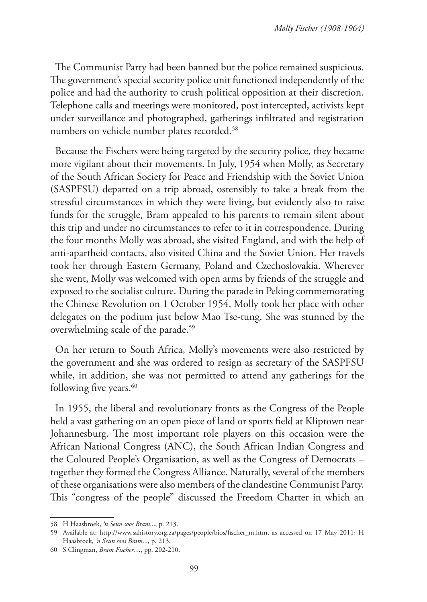The Communist Party had been banned but the police remained suspicious. The government's special security police unit functioned independently of the police and had the authority to crush political opposition at their discretion. Telephone calls and meetings were monitored, post intercepted, activists kept under surveillance and photographed, gatherings infiltrated and registration numbers on vehicle number plates recorded.<sup>58</sup>

Because the Fischers were being targeted by the security police, they became more vigilant about their movements. In July, 1954 when Molly, as Secretary of the South African Society for Peace and Friendship with the Soviet Union (SASPFSU) departed on a trip abroad, ostensibly to take a break from the stressful circumstances in which they were living, but evidently also to raise funds for the struggle, Bram appealed to his parents to remain silent about this trip and under no circumstances to refer to it in correspondence. During the four months Molly was abroad, she visited England, and with the help of anti-apartheid contacts, also visited China and the Soviet Union. Her travels took her through Eastern Germany, Poland and Czechoslovakia. Wherever she went, Molly was welcomed with open arms by friends of the struggle and exposed to the socialist culture. During the parade in Peking commemorating the Chinese Revolution on 1 October 1954, Molly took her place with other delegates on the podium just below Mao Tse-tung. She was stunned by the overwhelming scale of the parade.<sup>59</sup>

On her return to South Africa, Molly's movements were also restricted by the government and she was ordered to resign as secretary of the SASPFSU while, in addition, she was not permitted to attend any gatherings for the following five years.<sup>60</sup>

In 1955, the liberal and revolutionary fronts as the Congress of the People held a vast gathering on an open piece of land or sports field at Kliptown near Johannesburg. The most important role players on this occasion were the African National Congress (ANC), the South African Indian Congress and the Coloured People's Organisation, as well as the Congress of Democrats – together they formed the Congress Alliance. Naturally, several of the members of these organisations were also members of the clandestine Communist Party. This "congress of the people" discussed the Freedom Charter in which an

<sup>58</sup> H Haasbroek, *'n Seun soos Bram*..., p. 213.

<sup>59</sup> Available at: http://www.sahistory.org.za/pages/people/bios/fischer\_m.htm, as accessed on 17 May 2011; H Haasbroek, *'n Seun soos Bram*..., p. 213.

<sup>60</sup> S Clingman, *Bram Fischer*…, pp. 202-210.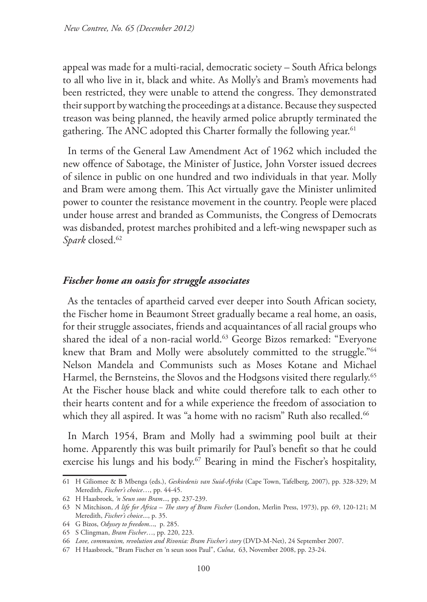appeal was made for a multi-racial, democratic society – South Africa belongs to all who live in it, black and white. As Molly's and Bram's movements had been restricted, they were unable to attend the congress. They demonstrated their support by watching the proceedings at a distance. Because they suspected treason was being planned, the heavily armed police abruptly terminated the gathering. The ANC adopted this Charter formally the following year.<sup>61</sup>

In terms of the General Law Amendment Act of 1962 which included the new offence of Sabotage, the Minister of Justice, John Vorster issued decrees of silence in public on one hundred and two individuals in that year. Molly and Bram were among them. This Act virtually gave the Minister unlimited power to counter the resistance movement in the country. People were placed under house arrest and branded as Communists, the Congress of Democrats was disbanded, protest marches prohibited and a left-wing newspaper such as Spark closed.<sup>62</sup>

### *Fischer home an oasis for struggle associates*

As the tentacles of apartheid carved ever deeper into South African society, the Fischer home in Beaumont Street gradually became a real home, an oasis, for their struggle associates, friends and acquaintances of all racial groups who shared the ideal of a non-racial world.<sup>63</sup> George Bizos remarked: "Everyone knew that Bram and Molly were absolutely committed to the struggle."<sup>64</sup> Nelson Mandela and Communists such as Moses Kotane and Michael Harmel, the Bernsteins, the Slovos and the Hodgsons visited there regularly.<sup>65</sup> At the Fischer house black and white could therefore talk to each other to their hearts content and for a while experience the freedom of association to which they all aspired. It was "a home with no racism" Ruth also recalled.<sup>66</sup>

In March 1954, Bram and Molly had a swimming pool built at their home. Apparently this was built primarily for Paul's benefit so that he could exercise his lungs and his body.<sup>67</sup> Bearing in mind the Fischer's hospitality,

<sup>61</sup> H Giliomee & B Mbenga (eds.), *Geskiedenis van Suid-Afrika* (Cape Town, Tafelberg, 2007), pp. 328-329; M Meredith, *Fischer's choice*…, pp. 44-45.

<sup>62</sup> H Haasbroek, *'n Seun soos Bram*...*,* pp. 237-239.

<sup>63</sup> N Mitchison, *A life for Africa – The story of Bram Fischer* (London, Merlin Press, 1973), pp. 69, 120-121; M Meredith, *Fischer's choice*..., p. 35.

<sup>64</sup> G Bizos, *Odyssey to freedom*..., p. 285.

<sup>65</sup> S Clingman, *Bram Fischer*…, pp. 220, 223.

<sup>66</sup> *Love, communism, revolution and Rivonia: Bram Fischer's story* (DVD-M-Net), 24 September 2007.

<sup>67</sup> H Haasbroek, "Bram Fischer en 'n seun soos Paul", *Culna*, 63, November 2008, pp. 23-24.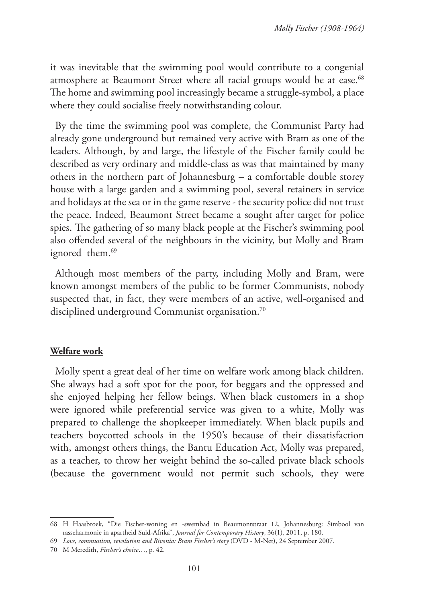it was inevitable that the swimming pool would contribute to a congenial atmosphere at Beaumont Street where all racial groups would be at ease.<sup>68</sup> The home and swimming pool increasingly became a struggle-symbol, a place where they could socialise freely notwithstanding colour.

By the time the swimming pool was complete, the Communist Party had already gone underground but remained very active with Bram as one of the leaders. Although, by and large, the lifestyle of the Fischer family could be described as very ordinary and middle-class as was that maintained by many others in the northern part of Johannesburg – a comfortable double storey house with a large garden and a swimming pool, several retainers in service and holidays at the sea or in the game reserve - the security police did not trust the peace. Indeed, Beaumont Street became a sought after target for police spies. The gathering of so many black people at the Fischer's swimming pool also offended several of the neighbours in the vicinity, but Molly and Bram ignored them.<sup>69</sup>

Although most members of the party, including Molly and Bram, were known amongst members of the public to be former Communists, nobody suspected that, in fact, they were members of an active, well-organised and disciplined underground Communist organisation.<sup>70</sup>

# **Welfare work**

Molly spent a great deal of her time on welfare work among black children. She always had a soft spot for the poor, for beggars and the oppressed and she enjoyed helping her fellow beings. When black customers in a shop were ignored while preferential service was given to a white, Molly was prepared to challenge the shopkeeper immediately. When black pupils and teachers boycotted schools in the 1950's because of their dissatisfaction with, amongst others things, the Bantu Education Act, Molly was prepared, as a teacher, to throw her weight behind the so-called private black schools (because the government would not permit such schools, they were

<sup>68</sup> H Haasbroek, "Die Fischer-woning en -swembad in Beaumontstraat 12, Johannesburg: Simbool van rasseharmonie in apartheid Suid-Afrika", *Journal for Contemporary History*, 36(1), 2011, p. 180.

<sup>69</sup> *Love, communism, revolution and Rivonia: Bram Fischer's story* (DVD - M-Net), 24 September 2007.

<sup>70</sup> M Meredith, *Fischer's choice*…, p. 42.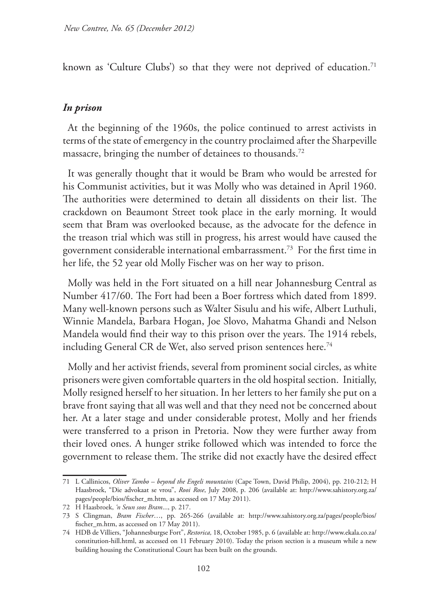known as 'Culture Clubs') so that they were not deprived of education.<sup>71</sup>

### *In prison*

At the beginning of the 1960s, the police continued to arrest activists in terms of the state of emergency in the country proclaimed after the Sharpeville massacre, bringing the number of detainees to thousands.72

It was generally thought that it would be Bram who would be arrested for his Communist activities, but it was Molly who was detained in April 1960. The authorities were determined to detain all dissidents on their list. The crackdown on Beaumont Street took place in the early morning. It would seem that Bram was overlooked because, as the advocate for the defence in the treason trial which was still in progress, his arrest would have caused the government considerable international embarrassment.73 For the first time in her life, the 52 year old Molly Fischer was on her way to prison.

Molly was held in the Fort situated on a hill near Johannesburg Central as Number 417/60. The Fort had been a Boer fortress which dated from 1899. Many well-known persons such as Walter Sisulu and his wife, Albert Luthuli, Winnie Mandela, Barbara Hogan, Joe Slovo, Mahatma Ghandi and Nelson Mandela would find their way to this prison over the years. The 1914 rebels, including General CR de Wet, also served prison sentences here.<sup>74</sup>

Molly and her activist friends, several from prominent social circles, as white prisoners were given comfortable quarters in the old hospital section. Initially, Molly resigned herself to her situation. In her letters to her family she put on a brave front saying that all was well and that they need not be concerned about her. At a later stage and under considerable protest, Molly and her friends were transferred to a prison in Pretoria. Now they were further away from their loved ones. A hunger strike followed which was intended to force the government to release them. The strike did not exactly have the desired effect

<sup>71</sup> L Callinicos, *Oliver Tambo – beyond the Engeli mountains* (Cape Town, David Philip, 2004), pp. 210-212; H Haasbroek, "Die advokaat se vrou", *Rooi Rose*, July 2008, p. 206 (available at: http://www.sahistory.org.za/ pages/people/bios/fischer\_m.htm, as accessed on 17 May 2011).

<sup>72</sup> H Haasbroek, *'n Seun soos Bram*..., p. 217.

<sup>73</sup> S Clingman, *Bram Fischer*…, pp. 265-266 (available at: http://www.sahistory.org.za/pages/people/bios/ fischer\_m.htm, as accessed on 17 May 2011).

<sup>74</sup> HDB de Villiers, "Johannesburgse Fort", *Restorica,* 18, October 1985, p. 6 (available at: http://www.ekala.co.za/ constitution-hill.html, as accessed on 11 February 2010). Today the prison section is a museum while a new building housing the Constitutional Court has been built on the grounds.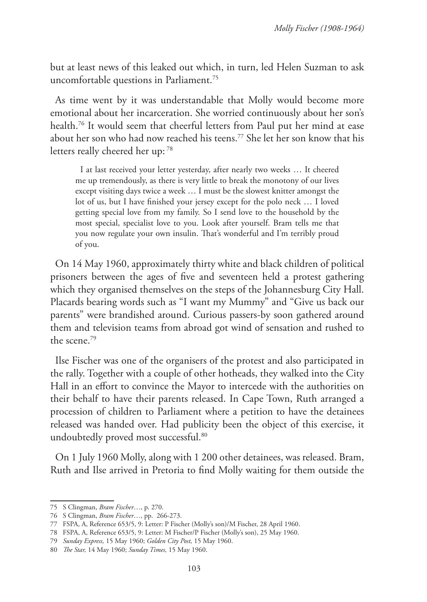but at least news of this leaked out which, in turn, led Helen Suzman to ask uncomfortable questions in Parliament.75

As time went by it was understandable that Molly would become more emotional about her incarceration. She worried continuously about her son's health.<sup>76</sup> It would seem that cheerful letters from Paul put her mind at ease about her son who had now reached his teens.<sup>77</sup> She let her son know that his letters really cheered her up: 78

I at last received your letter yesterday, after nearly two weeks … It cheered me up tremendously, as there is very little to break the monotony of our lives except visiting days twice a week … I must be the slowest knitter amongst the lot of us, but I have finished your jersey except for the polo neck … I loved getting special love from my family. So I send love to the household by the most special, specialist love to you. Look after yourself. Bram tells me that you now regulate your own insulin. That's wonderful and I'm terribly proud of you.

On 14 May 1960, approximately thirty white and black children of political prisoners between the ages of five and seventeen held a protest gathering which they organised themselves on the steps of the Johannesburg City Hall. Placards bearing words such as "I want my Mummy" and "Give us back our parents" were brandished around. Curious passers-by soon gathered around them and television teams from abroad got wind of sensation and rushed to the scene.79

Ilse Fischer was one of the organisers of the protest and also participated in the rally. Together with a couple of other hotheads, they walked into the City Hall in an effort to convince the Mayor to intercede with the authorities on their behalf to have their parents released. In Cape Town, Ruth arranged a procession of children to Parliament where a petition to have the detainees released was handed over. Had publicity been the object of this exercise, it undoubtedly proved most successful.80

On 1 July 1960 Molly, along with 1 200 other detainees, was released. Bram, Ruth and Ilse arrived in Pretoria to find Molly waiting for them outside the

<sup>75</sup> S Clingman, *Bram Fischer*…, p. 270.

<sup>76</sup> S Clingman, *Bram Fischer*…, pp. 266-273.

<sup>77</sup> FSPA, A, Reference 653/5, 9: Letter: P Fischer (Molly's son)/M Fischer, 28 April 1960.

<sup>78</sup> FSPA, A, Reference 653/5, 9: Letter: M Fischer/P Fischer (Molly's son), 25 May 1960.

<sup>79</sup> *Sunday Express,* 15 May 1960; *Golden City Post,* 15 May 1960.

<sup>80</sup> *The Star,* 14 May 1960; *Sunday Times,* 15 May 1960.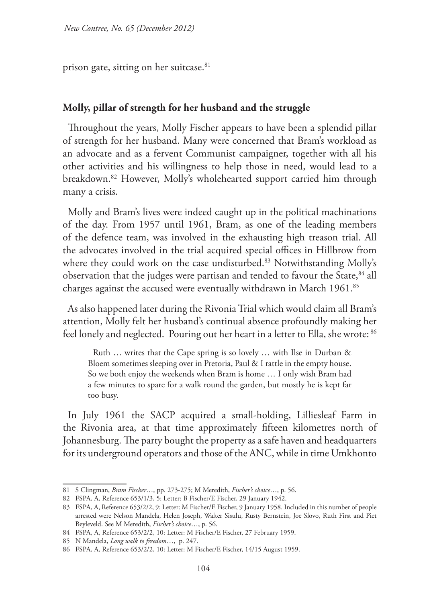prison gate, sitting on her suitcase.81

### **Molly, pillar of strength for her husband and the struggle**

Throughout the years, Molly Fischer appears to have been a splendid pillar of strength for her husband. Many were concerned that Bram's workload as an advocate and as a fervent Communist campaigner, together with all his other activities and his willingness to help those in need, would lead to a breakdown.82 However, Molly's wholehearted support carried him through many a crisis.

Molly and Bram's lives were indeed caught up in the political machinations of the day. From 1957 until 1961, Bram, as one of the leading members of the defence team, was involved in the exhausting high treason trial. All the advocates involved in the trial acquired special offices in Hillbrow from where they could work on the case undisturbed.<sup>83</sup> Notwithstanding Molly's observation that the judges were partisan and tended to favour the State,<sup>84</sup> all charges against the accused were eventually withdrawn in March 1961.<sup>85</sup>

As also happened later during the Rivonia Trial which would claim all Bram's attention, Molly felt her husband's continual absence profoundly making her feel lonely and neglected. Pouring out her heart in a letter to Ella, she wrote: 86

Ruth … writes that the Cape spring is so lovely … with Ilse in Durban & Bloem sometimes sleeping over in Pretoria, Paul & I rattle in the empty house. So we both enjoy the weekends when Bram is home … I only wish Bram had a few minutes to spare for a walk round the garden, but mostly he is kept far too busy.

In July 1961 the SACP acquired a small-holding, Lilliesleaf Farm in the Rivonia area, at that time approximately fifteen kilometres north of Johannesburg. The party bought the property as a safe haven and headquarters for its underground operators and those of the ANC, while in time Umkhonto

<sup>81</sup> S Clingman, *Bram Fischer*…, pp. 273-275; M Meredith, *Fischer's choice*…, p. 56.

<sup>82</sup> FSPA, A, Reference 653/1/3, 5: Letter: B Fischer/E Fischer, 29 January 1942.

<sup>83</sup> FSPA, A, Reference 653/2/2, 9: Letter: M Fischer/E Fischer, 9 January 1958. Included in this number of people arrested were Nelson Mandela, Helen Joseph, Walter Sisulu, Rusty Bernstein, Joe Slovo, Ruth First and Piet Beyleveld. See M Meredith, *Fischer's choice*…, p. 56.

<sup>84</sup> FSPA, A, Reference 653/2/2, 10: Letter: M Fischer/E Fischer, 27 February 1959.

<sup>85</sup> N Mandela, *Long walk to freedom*…, p. 247.

<sup>86</sup> FSPA, A, Reference 653/2/2, 10: Letter: M Fischer/E Fischer, 14/15 August 1959.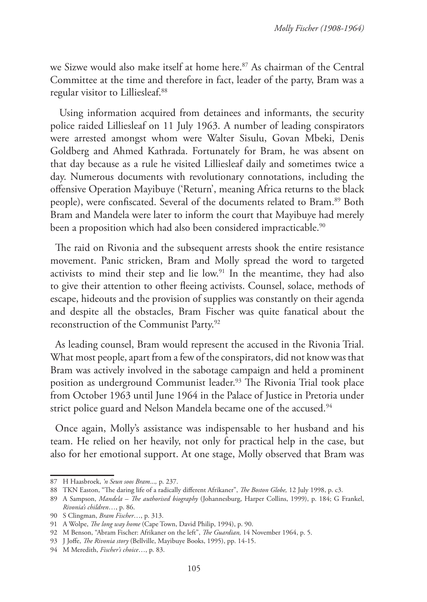we Sizwe would also make itself at home here.<sup>87</sup> As chairman of the Central Committee at the time and therefore in fact, leader of the party, Bram was a regular visitor to Lilliesleaf.88

 Using information acquired from detainees and informants, the security police raided Lilliesleaf on 11 July 1963. A number of leading conspirators were arrested amongst whom were Walter Sisulu, Govan Mbeki, Denis Goldberg and Ahmed Kathrada. Fortunately for Bram, he was absent on that day because as a rule he visited Lilliesleaf daily and sometimes twice a day. Numerous documents with revolutionary connotations, including the offensive Operation Mayibuye ('Return', meaning Africa returns to the black people), were confiscated. Several of the documents related to Bram.89 Both Bram and Mandela were later to inform the court that Mayibuye had merely been a proposition which had also been considered impracticable.<sup>90</sup>

The raid on Rivonia and the subsequent arrests shook the entire resistance movement. Panic stricken, Bram and Molly spread the word to targeted activists to mind their step and lie low.<sup>91</sup> In the meantime, they had also to give their attention to other fleeing activists. Counsel, solace, methods of escape, hideouts and the provision of supplies was constantly on their agenda and despite all the obstacles, Bram Fischer was quite fanatical about the reconstruction of the Communist Party.92

As leading counsel, Bram would represent the accused in the Rivonia Trial. What most people, apart from a few of the conspirators, did not know was that Bram was actively involved in the sabotage campaign and held a prominent position as underground Communist leader.<sup>93</sup> The Rivonia Trial took place from October 1963 until June 1964 in the Palace of Justice in Pretoria under strict police guard and Nelson Mandela became one of the accused.<sup>94</sup>

Once again, Molly's assistance was indispensable to her husband and his team. He relied on her heavily, not only for practical help in the case, but also for her emotional support. At one stage, Molly observed that Bram was

<sup>87</sup> H Haasbroek, *'n Seun soos Bram*...*,* p. 237.

<sup>88</sup> TKN Easton, "The daring life of a radically different Afrikaner", *The Boston Globe,* 12 July 1998, p. c3.

<sup>89</sup> A Sampson, *Mandela – The authorised biography* (Johannesburg, Harper Collins, 1999), p. 184; G Frankel, *Rivonia's children*…, p. 86.

<sup>90</sup> S Clingman, *Bram Fischer*…, p. 313.

<sup>91</sup> A Wolpe, *The long way home* (Cape Town, David Philip, 1994), p. 90.

<sup>92</sup> M Benson, "Abram Fischer: Afrikaner on the left", *The Guardian,* 14 November 1964, p. 5.

<sup>93</sup> J Joffe, *The Rivonia story* (Bellville, Mayibuye Books, 1995), pp. 14-15.

<sup>94</sup> M Meredith, *Fischer's choice*…, p. 83.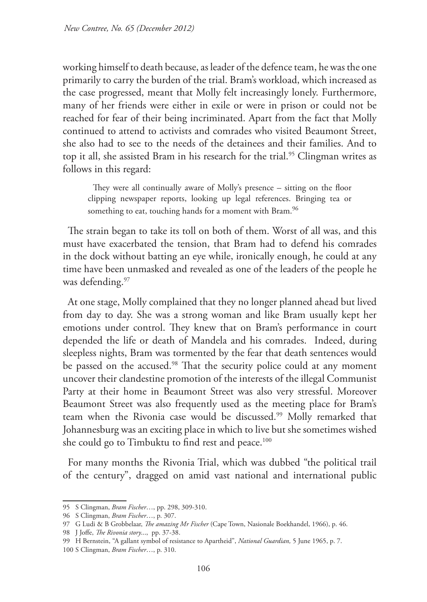working himself to death because, as leader of the defence team, he was the one primarily to carry the burden of the trial. Bram's workload, which increased as the case progressed, meant that Molly felt increasingly lonely. Furthermore, many of her friends were either in exile or were in prison or could not be reached for fear of their being incriminated. Apart from the fact that Molly continued to attend to activists and comrades who visited Beaumont Street, she also had to see to the needs of the detainees and their families. And to top it all, she assisted Bram in his research for the trial.<sup>95</sup> Clingman writes as follows in this regard:

They were all continually aware of Molly's presence – sitting on the floor clipping newspaper reports, looking up legal references. Bringing tea or something to eat, touching hands for a moment with Bram.<sup>96</sup>

The strain began to take its toll on both of them. Worst of all was, and this must have exacerbated the tension, that Bram had to defend his comrades in the dock without batting an eye while, ironically enough, he could at any time have been unmasked and revealed as one of the leaders of the people he was defending.<sup>97</sup>

At one stage, Molly complained that they no longer planned ahead but lived from day to day. She was a strong woman and like Bram usually kept her emotions under control. They knew that on Bram's performance in court depended the life or death of Mandela and his comrades. Indeed, during sleepless nights, Bram was tormented by the fear that death sentences would be passed on the accused.<sup>98</sup> That the security police could at any moment uncover their clandestine promotion of the interests of the illegal Communist Party at their home in Beaumont Street was also very stressful. Moreover Beaumont Street was also frequently used as the meeting place for Bram's team when the Rivonia case would be discussed.<sup>99</sup> Molly remarked that Johannesburg was an exciting place in which to live but she sometimes wished she could go to Timbuktu to find rest and peace.<sup>100</sup>

For many months the Rivonia Trial, which was dubbed "the political trail of the century", dragged on amid vast national and international public

<sup>95</sup> S Clingman, *Bram Fischer*…, pp. 298, 309-310.

<sup>96</sup> S Clingman, *Bram Fischer*…, p. 307.

<sup>97</sup> G Ludi & B Grobbelaar, *The amazing Mr Fischer* (Cape Town, Nasionale Boekhandel, 1966), p. 46.

<sup>98</sup> J Joffe, *The Rivonia story*..., pp. 37-38.

<sup>99</sup> H Bernstein, "A gallant symbol of resistance to Apartheid", *National Guardian,* 5 June 1965, p. 7.

<sup>100</sup> S Clingman, *Bram Fischer*…, p. 310.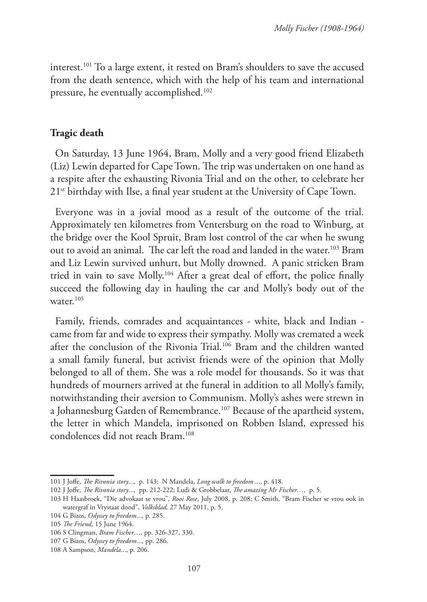interest.101 To a large extent, it rested on Bram's shoulders to save the accused from the death sentence, which with the help of his team and international pressure, he eventually accomplished.102

# **Tragic death**

On Saturday, 13 June 1964, Bram, Molly and a very good friend Elizabeth (Liz) Lewin departed for Cape Town. The trip was undertaken on one hand as a respite after the exhausting Rivonia Trial and on the other, to celebrate her  $21<sup>st</sup>$  birthday with Ilse, a final year student at the University of Cape Town.

Everyone was in a jovial mood as a result of the outcome of the trial. Approximately ten kilometres from Ventersburg on the road to Winburg, at the bridge over the Kool Spruit, Bram lost control of the car when he swung out to avoid an animal. The car left the road and landed in the water.<sup>103</sup> Bram and Liz Lewin survived unhurt, but Molly drowned. A panic stricken Bram tried in vain to save Molly.104 After a great deal of effort, the police finally succeed the following day in hauling the car and Molly's body out of the water. $105$ 

Family, friends, comrades and acquaintances - white, black and Indian came from far and wide to express their sympathy. Molly was cremated a week after the conclusion of the Rivonia Trial.106 Bram and the children wanted a small family funeral, but activist friends were of the opinion that Molly belonged to all of them. She was a role model for thousands. So it was that hundreds of mourners arrived at the funeral in addition to all Molly's family, notwithstanding their aversion to Communism. Molly's ashes were strewn in a Johannesburg Garden of Remembrance.107 Because of the apartheid system, the letter in which Mandela, imprisoned on Robben Island, expressed his condolences did not reach Bram.108

<sup>101</sup> J Joffe, *The Rivonia story*..., p. 143; N Mandela, *Long walk to freedom* ..., p. 418.

<sup>102</sup> J Joffe, *The Rivonia story*..., pp. 212-222; Ludi & Grobbelaar, *The amazing Mr Fischer…,* p. 5.

<sup>103</sup> H Haasbroek, "Die advokaat se vrou", *Rooi Rose*, July 2008, p. 208; C Smith, "Bram Fischer se vrou ook in watergraf in Vrystaat dood", *Volksblad,* 27 May 2011, p. 5.

<sup>104</sup> G Bizos, *Odyssey to freedom*..., p. 285.

<sup>105</sup> *The Friend,* 15 June 1964.

<sup>106</sup> S Clingman, *Bram Fischer*…, pp. 326-327, 330.

<sup>107</sup> G Bizos, *Odyssey to freedom*..., pp. 286.

<sup>108</sup> A Sampson, *Mandela*..., p. 206.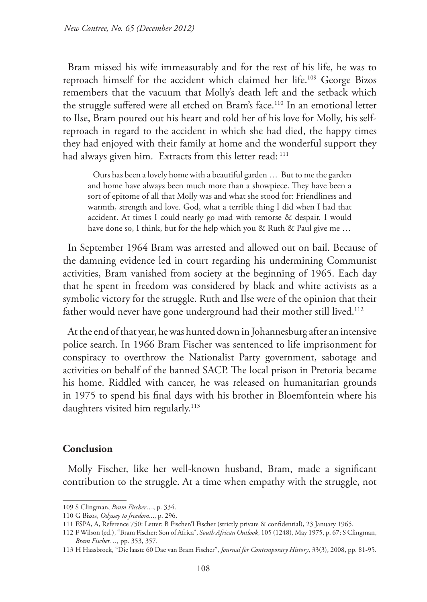Bram missed his wife immeasurably and for the rest of his life, he was to reproach himself for the accident which claimed her life.109 George Bizos remembers that the vacuum that Molly's death left and the setback which the struggle suffered were all etched on Bram's face.<sup>110</sup> In an emotional letter to Ilse, Bram poured out his heart and told her of his love for Molly, his selfreproach in regard to the accident in which she had died, the happy times they had enjoyed with their family at home and the wonderful support they had always given him. Extracts from this letter read: 111

Ours has been a lovely home with a beautiful garden … But to me the garden and home have always been much more than a showpiece. They have been a sort of epitome of all that Molly was and what she stood for: Friendliness and warmth, strength and love. God, what a terrible thing I did when I had that accident. At times I could nearly go mad with remorse & despair. I would have done so, I think, but for the help which you & Ruth & Paul give me ...

In September 1964 Bram was arrested and allowed out on bail. Because of the damning evidence led in court regarding his undermining Communist activities, Bram vanished from society at the beginning of 1965. Each day that he spent in freedom was considered by black and white activists as a symbolic victory for the struggle. Ruth and Ilse were of the opinion that their father would never have gone underground had their mother still lived.<sup>112</sup>

At the end of that year, he was hunted down in Johannesburg after an intensive police search. In 1966 Bram Fischer was sentenced to life imprisonment for conspiracy to overthrow the Nationalist Party government, sabotage and activities on behalf of the banned SACP. The local prison in Pretoria became his home. Riddled with cancer, he was released on humanitarian grounds in 1975 to spend his final days with his brother in Bloemfontein where his daughters visited him regularly.<sup>113</sup>

# **Conclusion**

Molly Fischer, like her well-known husband, Bram, made a significant contribution to the struggle. At a time when empathy with the struggle, not

<sup>109</sup> S Clingman, *Bram Fischer*…, p. 334.

<sup>110</sup> G Bizos, *Odyssey to freedom*..., p. 296.

<sup>111</sup> FSPA, A, Reference 750: Letter: B Fischer/I Fischer (strictly private & confidential), 23 January 1965.

<sup>112</sup> F Wilson (ed.), "Bram Fischer: Son of Africa", *South African Outlook*, 105 (1248), May 1975, p. 67; S Clingman, *Bram Fischer*…, pp. 353, 357.

<sup>113</sup> H Haasbroek, "Die laaste 60 Dae van Bram Fischer", *Journal for Contemporary History*, 33(3), 2008, pp. 81-95.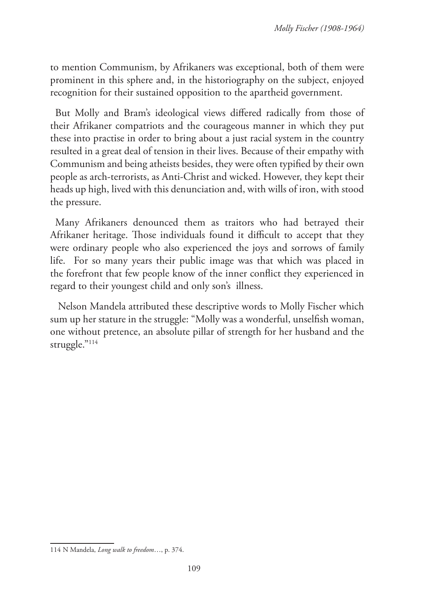to mention Communism, by Afrikaners was exceptional, both of them were prominent in this sphere and, in the historiography on the subject, enjoyed recognition for their sustained opposition to the apartheid government.

But Molly and Bram's ideological views differed radically from those of their Afrikaner compatriots and the courageous manner in which they put these into practise in order to bring about a just racial system in the country resulted in a great deal of tension in their lives. Because of their empathy with Communism and being atheists besides, they were often typified by their own people as arch-terrorists, as Anti-Christ and wicked. However, they kept their heads up high, lived with this denunciation and, with wills of iron, with stood the pressure.

Many Afrikaners denounced them as traitors who had betrayed their Afrikaner heritage. Those individuals found it difficult to accept that they were ordinary people who also experienced the joys and sorrows of family life. For so many years their public image was that which was placed in the forefront that few people know of the inner conflict they experienced in regard to their youngest child and only son's illness.

 Nelson Mandela attributed these descriptive words to Molly Fischer which sum up her stature in the struggle: "Molly was a wonderful, unselfish woman, one without pretence, an absolute pillar of strength for her husband and the struggle."114

<sup>114</sup> N Mandela, *Long walk to freedom*…, p. 374.